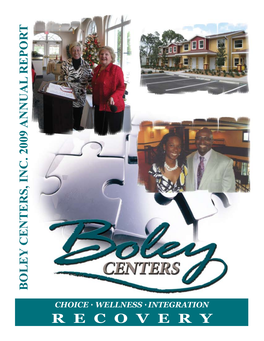# *Choice* ♦ *Wellness* ♦ *Integration* **RECOVERY**

# **BOLEY CENTERS, INC. 2009 ANNUAL REPORT Boley Centers, Inc. 2009 Annual Report**

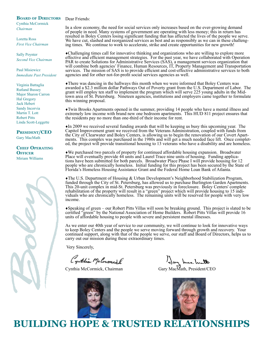# **BOARD OF DIRECTORS** Dear Friends:

Cynthia McCormick *Chairman*

Loretta Ross *First Vice Chairman*

Sally Poynter *Second Vice Chairman*

Paul Misiewicz *Immediate Past President*

## Virginia Battaglia Rutland Bussey Major Sharon Carron Hal Gregory Jack Hebert Sandy Incorvia Martin T. Lott Robert Pitts Linda Scott-Leggette

# **President/CEO**

Gary MacMath

# **Chief Operating Officer** Miriam Williams



In a slow economy, the need for social services only increases based on the ever-growing demand of people in need. Many systems of government are operating with less money; this in return has resulted in Boley Centers losing significant funding that has affected the lives of the people we serve. We have cut, slashed and reorganized services as best and as responsibly as we can in these challeng- ing times. We continue to work to accelerate, strike and create opportunities for new growth!

♦Challenging times call for innovative thinking and organizations who are willing to explore more effective and efficient management strategies. For the past year, we have collaborated with Operation PAR to create Solutions for Administrative Services (SAS), a management services organization that will combine both agencies' Finance, Human Resources, IT, Property Management and Transportation services. The mission of SAS is to provide efficient and cost-effective administrative services to both agencies and for other not-for-profit social services agencies as well.

♦There was dancing in the hallways this month when we were informed that Boley Centers was awarded a \$2.3 million dollar Pathways Out of Poverty grant from the U.S. Department of Labor. The grant will employ ten staff to implement the program which will serve 225 young adults in the Mid- town area of St. Petersburg. Nineteen agencies, institutions and employers came together to formulate this winning proposal.

♦Twin Brooks Apartments opened in the summer, providing 14 people who have a mental illness and extremely low income with brand new one bedroom apartments. This HUD 811 project ensures that the residents pay no more than one-third of their income for rent.

♦In 2009 we received several funding awards that will be keeping us busy this upcoming year. The Capitol Improvement grant we received from the Veterans Administration, coupled with funds from the City of Clearwater and Boley Centers, is allowing us to begin the renovation of our Covert Apartments. This complex was purchased in the 1980s and will get a much needed face lift. Once completed, the project will prov

♦We purchased two parcels of property for continued affordable housing expansion. Broadwater Place will eventually provide 44 units and Laurel Trace nine units of housing. Funding applica- tions have been submitted for both parcels. Broadwater Place Phase I will provide housing for 12 people who are chronically homeless. Initial funding for this project has been secured by the State of Florida's Homeless Housing Assistance Grant and the Federal Home Loan Bank of Atlanta.

♦The U.S. Department of Housing & Urban Development's Neighborhood Stabilization Program, funded through the City of St. Petersburg, has allowed us to purchase Burlington Garden Apartments. This 20-unit complex in mid-St. Petersburg was previously in foreclosure. Boley Centers' complete rehabilitation of the property will result in a "green" project which will provide housing to 15 indi- viduals who are chronically homeless. The remaining units will be reserved for people with very low income.

♦Speaking of green – our Robert Pitts Villas will soon be breaking ground. This project is slated to be certified "green" by the National Association of Home Builders. Robert Pitts Villas will provide 16 units of affordable housing to people with severe and persistent mental illnesses.

As we enter our 40th year of service to our community, we will continue to look for innovative ways to keep Boley Centers and the people we serve moving forward through growth and recovery. Your continued support, along with that of the people we serve, our staff and Board of Directors, helps us to carry out our mission during these extraordinary times.

Very Sincerely,

Cynthia McCormicl

Cynthia McCormick, Chairman Gary MacMath, President/CEO



Jay hac hutto



**Building Hope & Trusted Relationships**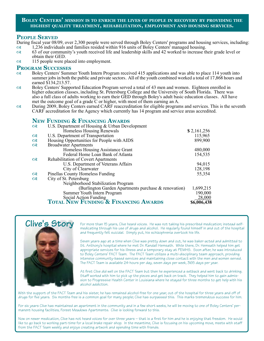# **Boley Centers'** *mission* **is to enrich the lives of people in recovery by providing the highest quality treatment, rehabilitation, employment and housing services.**

# **People Served**

During fiscal year 08/09, over 2,300 people were served through Boley Centers' programs and housing services, including:

- 1,236 individuals and families resided within 916 units of Boley Centers' managed housing.<br>63 of our community's youth received life and leadership skills and 42 worked to increase the 63 of our community's youth received life and leadership skills and 42 worked to increase their grade level or
- obtain their GED.
- $\infty$  115 people were placed into employment.

- **PROGRAM SUCCESSES**<br>
Soley Centers' Summer Youth Intern Program received 415 applications and was able to place 114 youth into summer jobs in both the public and private sectors. All of the youth combined worked a total of 17,868 hours and
- earned \$134,213.57.<br>Boley Centers' Supported Education Program served a total of 43 men and women. Eighteen enrolled in Boley Centers' Supported Education Program served a total of 43 men and women. Eighteen enrolled in higher education classes, including St. Petersburg College and the University of South Florida. There was also a full clas
- During 2009, Boley Centers earned CARF reaccreditation for eligible programs and services. This is the seventh CARF accreditation for the Agency which currently has 14 program and service areas accredited.

# **New Funding & Financing Awards**

| $\alpha$ | U.S. Department of Housing & Urban Development       |             |
|----------|------------------------------------------------------|-------------|
|          | Homeless Housing Renewals                            | \$2,161,256 |
| $\alpha$ | U.S. Department of Transportation                    | 115,965     |
| $\alpha$ | Housing Opportunities for People with AIDS           | 899,900     |
| $\alpha$ | <b>Broadwater Apartments</b>                         |             |
|          | Homeless Housing Assistance Grant                    | 480,000     |
|          | Federal Home Loan Bank of Atlanta                    | 154,535     |
| $\alpha$ | Rehabilitation of Covert Apartments                  |             |
|          | U.S. Department of Veterans Affairs                  | 94,015      |
|          | City of Clearwater                                   | 128,198     |
| $\alpha$ | <b>Pinellas County Homeless Funding</b>              | 55,354      |
| $\alpha$ | City of St. Petersburg                               |             |
|          | Neighborhood Stabilization Program                   |             |
|          | (Burlington Garden Apartments purchase & renovation) | 1,699,215   |
|          | Summer Youth Intern Program                          | 190,000     |
|          | Social Action Funding                                | 28,000      |
|          | <b>TOTAL NEW FUNDING &amp; FINANCING AWARDS</b>      | \$6,006,438 |



For more than 15 years, Clive heard voices. He was not taking his prescribed medication; instead selfmedicating through his use of drugs and alcohol. He regularly found himself in and out of the hospital and frequently felt suicidal. Simply put, his schizophrenia overtook his life.

Seven years ago at a time when Clive was pretty down and out, he was baker-acted and admitted to St. Anthony's hospital where he met Dr. Randall Hemsath. While there, Dr. Hemsath helped him get appropriate services for his illness and a temporary stay at PEMHS. Soon after, he was introduced to Boley Centers' FACT Team. The FACT Team utilizes a multi-disciplinary team approach, providing intensive community-based services and maintaining close contact with the men and women served. The FACT Team is available 24-hours per day, seven days per week, 365 days per year.

At first Clive did well on the FACT Team but then he experienced a setback and went back to drinking. Staff worked with him to pick up the pieces and get back on track. They helped him to gain admission to Progressive Health Center in Louisiana where he stayed for three months to get help with his alcohol addiction.

With the support of the FACT Team and his sister, he has remained alcohol-free for one year, out of the hospital for three years and off of drugs for five years. Six months free is a common goal for many people; Clive has surpassed this. This marks tremendous success for him.

 For six years Clive has maintained an apartment in the community and in a few short weeks, he will be moving to one of Boley Centers' permanent housing facilities, Forest Meadows Apartments. Clive is looking forward to this.

Now on newer medication, Clive has not heard voices for over three years – that is a first for him and he is enjoying that freedom. He would like to go back to working part-time for a local brake repair shop. In the meantime, Clive is focusing on his upcoming move, meets with staff from the FACT Team weekly and enjoys creating artwork and spending time with friends.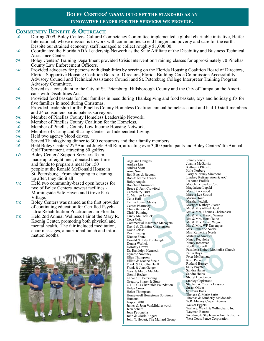# **Boley Centers'** *vision* **is to set the standard as an innovative leader for the services we provide.**

# **COMMUNITY BENEFIT & OUTREACH**<br> **Q3** During 2009, Boley Centers' Cultural C

- During 2009, Boley Centers' Cultural Competency Committee implemented a global charitable initiative, Heifer International, whose mission is to work with communities to end hunger and poverty and care for the earth.<br>Despit
- Coordinated the Florida ADA Leadership Network as the State Affiliate of the Disability and Business Technical Assistance Center.
- Boley Centers' Training Department provided Crisis Intervention Training classes for approximately 70 Pinellas County Law Enforcement Officers.
- Rowided advocacy for persons with disabilities by serving on the Florida Housing Coalition Board of Directors,<br>Florida Supportive Housing Coalition Board of Directors, Florida Building Code Commission Accessibility<br>Advisor
- Served as a consultant to the City of St. Petersburg, Hillsborough County and the City of Tampa on the Ameri- cans with Disabilities Act.
- Provided food baskets for four families in need during Thanksgiving and food baskets, toys and holiday gifts for five families in need during Christmas.
- Provided leadership for the Pinellas County Homeless Coalition annual homeless count and had 10 staff members and 24 consumers participate as surveyors.
- Member of Pinellas County Homeless Leadership Network.
- Member of Pinellas County Coalition for the Homeless.
- Member of Pinellas County Low Income Housing Network.
- Member of Caring and Sharing Center for Independent Living.
- $\infty$  Held two agency blood drives.
- Served Thanksgiving dinner to 300 consumers and their family members.
- Held Boley Centers' 27th Annual Jingle Bell Run, attracting over 3,000 participants and Boley Centers' 4th Annual Golf Tournament, attracting 80 golfers.
- Roley Centers' Support Services Team, made up of eight men, donated their time and funds to prepare a meal for 150 people at the Ronald McDonald House in St. Petersburg. From shopping to cleaning up after, they did it all!
- $\infty$  Held two community-based open houses for<br>two of Boley Centers' newest facilities -Morningside Safe Haven and Grove Park Village.
- Boley Centers was named as the first provider of continuing education for Certified Psychiatric Rehabilitation Practitioners in Florida.
- Relax Held 2nd Annual Wellness Fair at the Mary R. Koenig Center, promoting both physical and mental health. The fair included meditation, chair massages, a nutritional lunch and information booths.



Trust<br>
Latus<br>
Marci Marci Marci Marci Marci Marci Marci Marci Marci Marsh<br>
macy Marty Mr. & Mr. & Mr. & Mr. & Mr. & Mr. & Mr. & Mr. & Mr. & Mr. & Mr. & Mr. & Mr. & Mr. & Mr. & Mr. & Mr. & Mr. & Mr. & Mr. & Mr. & Mr. & Mr. Marc Blackwood<br>
Marcia Lee Stroud<br>
Marsia Hoke<br>
Marsha Fetchik<br>
Marsha Fetchik<br>
Marty & Kathryn Juarez<br>
Mr. & Mrs. Hornas Christer<br>
Mr. & Mrs. Hornas Christer<br>
Mr. & Mrs. Horst Teine<br>
Mr. & Mrs. We Davenport<br>
Mr. & Mrs. We Algalana Douglas Andrea Liss Andrea Scott Anne Smith Bed Bugs & Beyond Bob & Jennie Yeager Boley Angels Bouchard Insurance Bruce & Jerri Crawford Canterbury Trust C. Marilyn Latus Celia Hall Celma Louise Mastry Center Pharmacy Charlotte Krizek Chris' Painting Cindy McCormick Coca-Cola Commercial Insurance Managers David & Christine Christenson David Jelaso Dex Imaging Dianne Franz Donald & Judy Turnbaugh Donna Warlick Dorothy Brown Dr. Randolph Hemseth Dyreese Sweeney Ellen Thompson Elliott & Dianne Steele Frank & Dorothy Harff Frank & Joan Geiger Gary & Marcy MacMath Gerald Becker GFWC St. Petersburg Gregory, Sharer & Stuart GTE FCU Charitable Foundation Helen Coiro Helen Thompson Homeywell Hometown Solutions Humana Inspect 2001 James & Joan VanMiddlesworth Jean Scheff Joan Petronella John & Gloria Rogers John T. Hebert, The Mallard Group Johnny Jones Juanita McGarrity Kathryn O'Keeffe Kyle Norberg Larry & Nancy Simmons Lindsey Refrigeration & A/C Lu Anne Frolick Madeleine Sayles Cole Magdalene Lepaki Marc Blackwood Marcia Lee Stroud Marisa Hoke Marsha Fetchik Marty & Kathryn Juarez Mr. & Mrs Alfred Budd Mr. & Mrs. Thomas Christensen Mr. & Mrs. Harold Winner Mr. & Mrs. Horst Teine Mr. & Mrs. Vance Wegner Mr. & Mrs. WF Davenport Mrs. Catherine Naabe Mrs. Katherine North Mutual of America Nancy Recvlohe Nancy Rosevear Noelle Norvell Pasadena United Methodist Church Paula Hays Peter McNamara Rose Parker Rutland Bussey Sally Poynter Sandra Harris Sandra Heins Sheryl Henderson Stanley Capistrant Stephen & Cecelia Lessaro Susan Oliver Synovus Bank Theresa & Marie Sarto Thomas & Kimberly Maldonado W.R. Mickey Carpet Brokers Walker Eggers Wallace, Welch & Willingham, Inc. Wayman Barrett Wedding & Stephenson Architects, Inc. West Coast Fence Corporation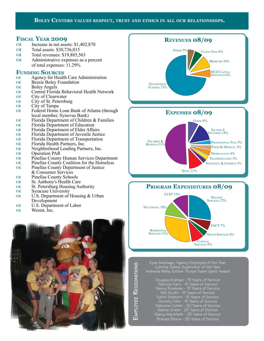# **Boley Centers** *values* **respect, trust and ethics in all our relationships.**

# **FISCAL YEAR 2009**<br> **GREER** Increase in net asset

- Increase in net assets: \$1,402,870
- os Total assets: \$30,736,015
- Total revenues: \$19,885,563
- Administrative expenses as a percent of total expenses: 11.29%

# **FUNDING SOURCES**<br> **SOURCES**

- Agency for Health Care Administration
- Ressie Boley Foundation
- $\infty$  Boley Angels
- Central Florida Behavioral Health Network
- $\alpha$  City of Clearwater<br> $\alpha$  City of St. Petersbu
- City of St. Petersburg
- $\alpha$  City of Tampa
- Rederal Home Loan Bank of Atlanta (through local member, Synovus Bank)
- $\infty$  Florida Department of Children & Families
- **Represent Separtment of Education**<br> **Represent Separtment of Elder Affa**
- Florida Department of Elder Affairs
- Florida Department of Juvenile Justice
- **Example 2** Florida Department of Transportation
- Florida Health Partners, Inc.
- Neighborhood Lending Partners, Inc.
- Q Operation PAR<br>
Q Pinellas County
- Pinellas County Human Services Department
- $\infty$  Pinellas County Coalition for the Homeless
- Pinellas County Department of Justice & Consumer Services
- Pinellas County Schools
- 
- $\infty$  St. Anthony's Health Care<br> $\infty$  St. Petersburg Housing Au St. Petersburg Housing Authority
- Syracuse University
- 
- $\infty$  U.S. Department of Housing & Urban Development
- U.S. Department of Labor
- $\infty$  Westat, Inc.









Kyra Santiago, Agency Employee of the Year Cynthia Oates, Supervisor of the Year Verbenia Wells, Esther Thorpe Team Spirit Award

> Douglas Erdman - 15 Years of Service Patricia Hart - 15 Years of Service Nancy Rosevear - 15 Years of Service Neil Scott - 15 Years of Service Kelvin Stewart - 15 Years of Service Dorothy Fehr - 15 Years of Service Alphonso Cohen - 20 Years of Service Mamie Green - 25 Years of Service Marcy MacMath - 25 Years of Service Brenda Peters - 25 Years of Service

EMPLOYEE RECOGNITIONS **mployee R ecognitions**